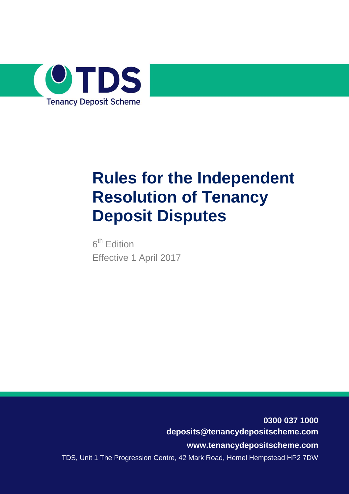

# **Rules for the Independent Resolution of Tenancy Deposit Disputes**

6<sup>th</sup> Edition Effective 1 April 2017

**0300 037 1000 deposits@tenancydepositscheme.com www.tenancydepositscheme.com** TDS, Unit 1 The Progression Centre, 42 Mark Road, Hemel Hempstead HP2 7DW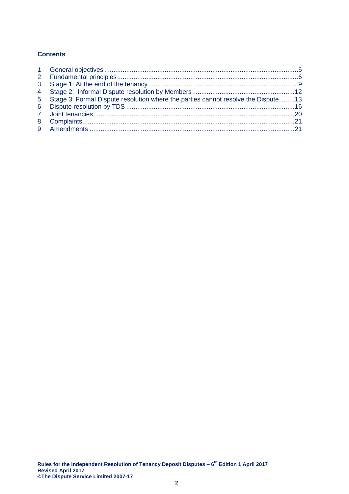# **Contents**

| 3 <sup>1</sup> |                                                                                    |  |
|----------------|------------------------------------------------------------------------------------|--|
| $\overline{4}$ |                                                                                    |  |
| 5 <sup>1</sup> | Stage 3: Formal Dispute resolution where the parties cannot resolve the Dispute 13 |  |
| 6              |                                                                                    |  |
|                |                                                                                    |  |
|                |                                                                                    |  |
|                |                                                                                    |  |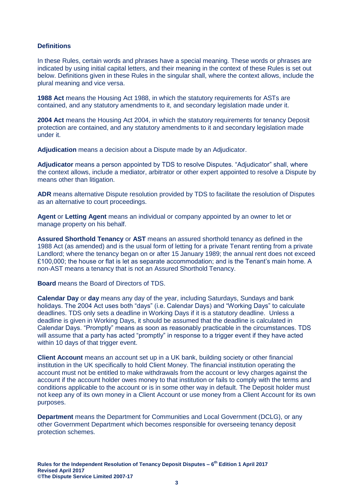## **Definitions**

In these Rules, certain words and phrases have a special meaning. These words or phrases are indicated by using initial capital letters, and their meaning in the context of these Rules is set out below. Definitions given in these Rules in the singular shall, where the context allows, include the plural meaning and vice versa.

**1988 Act** means the Housing Act 1988, in which the statutory requirements for ASTs are contained, and any statutory amendments to it, and secondary legislation made under it.

**2004 Act** means the Housing Act 2004, in which the statutory requirements for tenancy Deposit protection are contained, and any statutory amendments to it and secondary legislation made under it.

**Adjudication** means a decision about a Dispute made by an Adjudicator.

**Adjudicator** means a person appointed by TDS to resolve Disputes. "Adjudicator" shall, where the context allows, include a mediator, arbitrator or other expert appointed to resolve a Dispute by means other than litigation.

**ADR** means alternative Dispute resolution provided by TDS to facilitate the resolution of Disputes as an alternative to court proceedings.

**Agent** or **Letting Agent** means an individual or company appointed by an owner to let or manage property on his behalf.

**Assured Shorthold Tenancy** or **AST** means an assured shorthold tenancy as defined in the 1988 Act (as amended) and is the usual form of letting for a private Tenant renting from a private Landlord; where the tenancy began on or after 15 January 1989; the annual rent does not exceed £100,000; the house or flat is let as separate accommodation; and is the Tenant's main home. A non-AST means a tenancy that is not an Assured Shorthold Tenancy.

**Board** means the Board of Directors of TDS.

**Calendar Day** or **day** means any day of the year, including Saturdays, Sundays and bank holidays. The 2004 Act uses both "days" (i.e. Calendar Days) and "Working Days" to calculate deadlines. TDS only sets a deadline in Working Days if it is a statutory deadline. Unless a deadline is given in Working Days, it should be assumed that the deadline is calculated in Calendar Days. "Promptly" means as soon as reasonably practicable in the circumstances. TDS will assume that a party has acted "promptly" in response to a trigger event if they have acted within 10 days of that trigger event.

**Client Account** means an account set up in a UK bank, building society or other financial institution in the UK specifically to hold Client Money. The financial institution operating the account must not be entitled to make withdrawals from the account or levy charges against the account if the account holder owes money to that institution or fails to comply with the terms and conditions applicable to the account or is in some other way in default. The Deposit holder must not keep any of its own money in a Client Account or use money from a Client Account for its own purposes.

**Department** means the Department for Communities and Local Government (DCLG), or any other Government Department which becomes responsible for overseeing tenancy deposit protection schemes.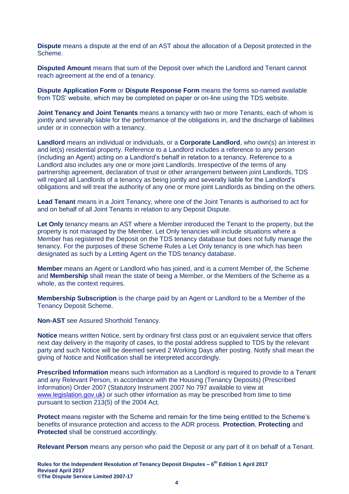**Dispute** means a dispute at the end of an AST about the allocation of a Deposit protected in the Scheme.

**Disputed Amount** means that sum of the Deposit over which the Landlord and Tenant cannot reach agreement at the end of a tenancy.

**Dispute Application Form** or **Dispute Response Form** means the forms so-named available from TDS' website, which may be completed on paper or on-line using the TDS website.

**Joint Tenancy and Joint Tenants** means a tenancy with two or more Tenants, each of whom is jointly and severally liable for the performance of the obligations in, and the discharge of liabilities under or in connection with a tenancy.

**Landlord** means an individual or individuals, or a **Corporate Landlord**, who own(s) an interest in and let(s) residential property. Reference to a Landlord includes a reference to any person (including an Agent) acting on a Landlord's behalf in relation to a tenancy. Reference to a Landlord also includes any one or more joint Landlords. Irrespective of the terms of any partnership agreement, declaration of trust or other arrangement between joint Landlords, TDS will regard all Landlords of a tenancy as being jointly and severally liable for the Landlord's obligations and will treat the authority of any one or more joint Landlords as binding on the others.

**Lead Tenant** means in a Joint Tenancy, where one of the Joint Tenants is authorised to act for and on behalf of all Joint Tenants in relation to any Deposit Dispute.

**Let Only** tenancy means an AST where a Member introduced the Tenant to the property, but the property is not managed by the Member. Let Only tenancies will include situations where a Member has registered the Deposit on the TDS tenancy database but does not fully manage the tenancy. For the purposes of these Scheme Rules a Let Only tenancy is one which has been designated as such by a Letting Agent on the TDS tenancy database.

**Member** means an Agent or Landlord who has joined, and is a current Member of, the Scheme and **Membership** shall mean the state of being a Member, or the Members of the Scheme as a whole, as the context requires.

**Membership Subscription** is the charge paid by an Agent or Landlord to be a Member of the Tenancy Deposit Scheme.

**Non-AST** see Assured Shorthold Tenancy.

**Notice** means written Notice, sent by ordinary first class post or an equivalent service that offers next day delivery in the majority of cases, to the postal address supplied to TDS by the relevant party and such Notice will be deemed served 2 Working Days after posting. Notify shall mean the giving of Notice and Notification shall be interpreted accordingly.

**Prescribed Information** means such information as a Landlord is required to provide to a Tenant and any Relevant Person, in accordance with the Housing (Tenancy Deposits) (Prescribed Information) Order 2007 (Statutory Instrument 2007 No 797 available to view at [www.legislation.gov.uk\)](http://www.legislation.gov.uk/) or such other information as may be prescribed from time to time pursuant to section 213(5) of the 2004 Act.

**Protect** means register with the Scheme and remain for the time being entitled to the Scheme's benefits of insurance protection and access to the ADR process. **Protection**, **Protecting** and **Protected** shall be construed accordingly.

**Relevant Person** means any person who paid the Deposit or any part of it on behalf of a Tenant.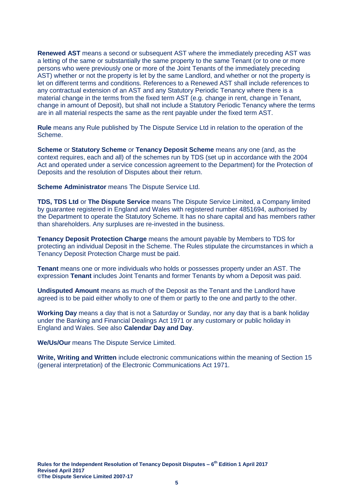**Renewed AST** means a second or subsequent AST where the immediately preceding AST was a letting of the same or substantially the same property to the same Tenant (or to one or more persons who were previously one or more of the Joint Tenants of the immediately preceding AST) whether or not the property is let by the same Landlord, and whether or not the property is let on different terms and conditions. References to a Renewed AST shall include references to any contractual extension of an AST and any Statutory Periodic Tenancy where there is a material change in the terms from the fixed term AST (e.g. change in rent, change in Tenant, change in amount of Deposit), but shall not include a Statutory Periodic Tenancy where the terms are in all material respects the same as the rent payable under the fixed term AST.

**Rule** means any Rule published by The Dispute Service Ltd in relation to the operation of the Scheme.

**Scheme** or **Statutory Scheme** or **Tenancy Deposit Scheme** means any one (and, as the context requires, each and all) of the schemes run by TDS (set up in accordance with the 2004 Act and operated under a service concession agreement to the Department) for the Protection of Deposits and the resolution of Disputes about their return.

**Scheme Administrator** means The Dispute Service Ltd.

**TDS, TDS Ltd** or **The Dispute Service** means The Dispute Service Limited, a Company limited by guarantee registered in England and Wales with registered number 4851694, authorised by the Department to operate the Statutory Scheme. It has no share capital and has members rather than shareholders. Any surpluses are re-invested in the business.

**Tenancy Deposit Protection Charge** means the amount payable by Members to TDS for protecting an individual Deposit in the Scheme. The Rules stipulate the circumstances in which a Tenancy Deposit Protection Charge must be paid.

**Tenant** means one or more individuals who holds or possesses property under an AST. The expression **Tenant** includes Joint Tenants and former Tenants by whom a Deposit was paid.

**Undisputed Amount** means as much of the Deposit as the Tenant and the Landlord have agreed is to be paid either wholly to one of them or partly to the one and partly to the other.

**Working Day** means a day that is not a Saturday or Sunday, nor any day that is a bank holiday under the Banking and Financial Dealings Act 1971 or any customary or public holiday in England and Wales. See also **Calendar Day and Day**.

**We/Us/Our** means The Dispute Service Limited.

**Write, Writing and Written** include electronic communications within the meaning of Section 15 (general interpretation) of the Electronic Communications Act 1971.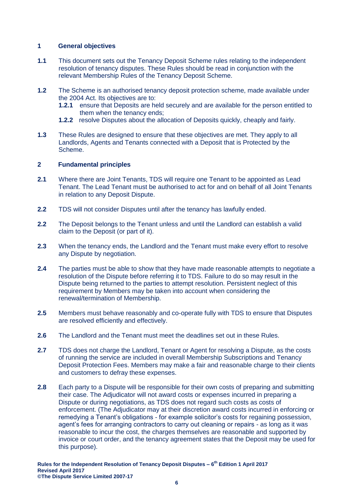## <span id="page-5-0"></span>**1 General objectives**

- **1.1** This document sets out the Tenancy Deposit Scheme rules relating to the independent resolution of tenancy disputes. These Rules should be read in conjunction with the relevant Membership Rules of the Tenancy Deposit Scheme.
- **1.2** The Scheme is an authorised tenancy deposit protection scheme, made available under the 2004 Act. Its objectives are to:
	- **1.2.1** ensure that Deposits are held securely and are available for the person entitled to them when the tenancy ends;
	- **1.2.2** resolve Disputes about the allocation of Deposits quickly, cheaply and fairly.
- **1.3** These Rules are designed to ensure that these objectives are met. They apply to all Landlords, Agents and Tenants connected with a Deposit that is Protected by the Scheme.

## <span id="page-5-1"></span>**2 Fundamental principles**

- **2.1** Where there are Joint Tenants, TDS will require one Tenant to be appointed as Lead Tenant. The Lead Tenant must be authorised to act for and on behalf of all Joint Tenants in relation to any Deposit Dispute.
- **2.2** TDS will not consider Disputes until after the tenancy has lawfully ended.
- **2.2** The Deposit belongs to the Tenant unless and until the Landlord can establish a valid claim to the Deposit (or part of it).
- **2.3** When the tenancy ends, the Landlord and the Tenant must make every effort to resolve any Dispute by negotiation.
- **2.4** The parties must be able to show that they have made reasonable attempts to negotiate a resolution of the Dispute before referring it to TDS. Failure to do so may result in the Dispute being returned to the parties to attempt resolution. Persistent neglect of this requirement by Members may be taken into account when considering the renewal/termination of Membership.
- **2.5** Members must behave reasonably and co-operate fully with TDS to ensure that Disputes are resolved efficiently and effectively.
- **2.6** The Landlord and the Tenant must meet the deadlines set out in these Rules.
- **2.7** TDS does not charge the Landlord, Tenant or Agent for resolving a Dispute, as the costs of running the service are included in overall Membership Subscriptions and Tenancy Deposit Protection Fees. Members may make a fair and reasonable charge to their clients and customers to defray these expenses.
- **2.8** Each party to a Dispute will be responsible for their own costs of preparing and submitting their case. The Adjudicator will not award costs or expenses incurred in preparing a Dispute or during negotiations, as TDS does not regard such costs as costs of enforcement. (The Adjudicator may at their discretion award costs incurred in enforcing or remedying a Tenant's obligations - for example solicitor's costs for regaining possession, agent's fees for arranging contractors to carry out cleaning or repairs - as long as it was reasonable to incur the cost, the charges themselves are reasonable and supported by invoice or court order, and the tenancy agreement states that the Deposit may be used for this purpose).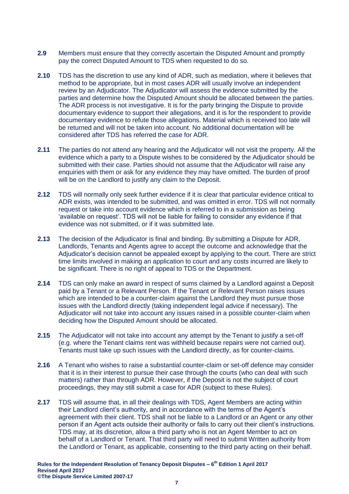- **2.9** Members must ensure that they correctly ascertain the Disputed Amount and promptly pay the correct Disputed Amount to TDS when requested to do so.
- **2.10** TDS has the discretion to use any kind of ADR, such as mediation, where it believes that method to be appropriate, but in most cases ADR will usually involve an independent review by an Adjudicator. The Adjudicator will assess the evidence submitted by the parties and determine how the Disputed Amount should be allocated between the parties. The ADR process is not investigative. It is for the party bringing the Dispute to provide documentary evidence to support their allegations, and it is for the respondent to provide documentary evidence to refute those allegations. Material which is received too late will be returned and will not be taken into account. No additional documentation will be considered after TDS has referred the case for ADR.
- **2.11** The parties do not attend any hearing and the Adjudicator will not visit the property. All the evidence which a party to a Dispute wishes to be considered by the Adjudicator should be submitted with their case. Parties should not assume that the Adjudicator will raise any enquiries with them or ask for any evidence they may have omitted. The burden of proof will be on the Landlord to justify any claim to the Deposit.
- **2.12** TDS will normally only seek further evidence if it is clear that particular evidence critical to ADR exists, was intended to be submitted, and was omitted in error. TDS will not normally request or take into account evidence which is referred to in a submission as being 'available on request'. TDS will not be liable for failing to consider any evidence if that evidence was not submitted, or if it was submitted late.
- <span id="page-6-0"></span>**2.13** The decision of the Adjudicator is final and binding. By submitting a Dispute for ADR, Landlords, Tenants and Agents agree to accept the outcome and acknowledge that the Adjudicator's decision cannot be appealed except by applying to the court. There are strict time limits involved in making an application to court and any costs incurred are likely to be significant. There is no right of appeal to TDS or the Department.
- **2.14** TDS can only make an award in respect of sums claimed by a Landlord against a Deposit paid by a Tenant or a Relevant Person. If the Tenant or Relevant Person raises issues which are intended to be a counter-claim against the Landlord they must pursue those issues with the Landlord directly (taking independent legal advice if necessary). The Adjudicator will not take into account any issues raised in a possible counter-claim when deciding how the Disputed Amount should be allocated.
- **2.15** The Adjudicator will not take into account any attempt by the Tenant to justify a set-off (e.g. where the Tenant claims rent was withheld because repairs were not carried out). Tenants must take up such issues with the Landlord directly, as for counter-claims.
- **2.16** A Tenant who wishes to raise a substantial counter-claim or set-off defence may consider that it is in their interest to pursue their case through the courts (who can deal with such matters) rather than through ADR. However, if the Deposit is not the subject of court proceedings, they may still submit a case for ADR (subject to these Rules).
- **2.17** TDS will assume that, in all their dealings with TDS, Agent Members are acting within their Landlord client's authority, and in accordance with the terms of the Agent's agreement with their client. TDS shall not be liable to a Landlord or an Agent or any other person if an Agent acts outside their authority or fails to carry out their client's instructions. TDS may, at its discretion, allow a third party who is not an Agent Member to act on behalf of a Landlord or Tenant. That third party will need to submit Written authority from the Landlord or Tenant, as applicable, consenting to the third party acting on their behalf.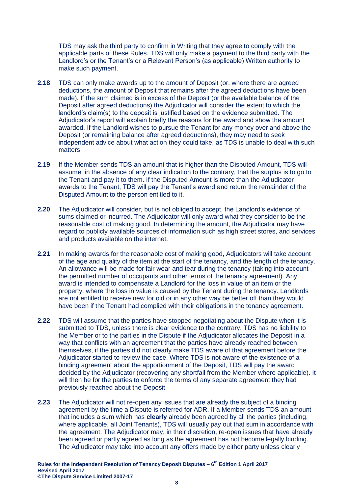TDS may ask the third party to confirm in Writing that they agree to comply with the applicable parts of these Rules. TDS will only make a payment to the third party with the Landlord's or the Tenant's or a Relevant Person's (as applicable) Written authority to make such payment.

- **2.18** TDS can only make awards up to the amount of Deposit (or, where there are agreed deductions, the amount of Deposit that remains after the agreed deductions have been made). If the sum claimed is in excess of the Deposit (or the available balance of the Deposit after agreed deductions) the Adjudicator will consider the extent to which the landlord's claim(s) to the deposit is justified based on the evidence submitted. The Adjudicator's report will explain briefly the reasons for the award and show the amount awarded. If the Landlord wishes to pursue the Tenant for any money over and above the Deposit (or remaining balance after agreed deductions), they may need to seek independent advice about what action they could take, as TDS is unable to deal with such matters.
- **2.19** If the Member sends TDS an amount that is higher than the Disputed Amount, TDS will assume, in the absence of any clear indication to the contrary, that the surplus is to go to the Tenant and pay it to them. If the Disputed Amount is more than the Adjudicator awards to the Tenant, TDS will pay the Tenant's award and return the remainder of the Disputed Amount to the person entitled to it.
- **2.20** The Adjudicator will consider, but is not obliged to accept, the Landlord's evidence of sums claimed or incurred. The Adjudicator will only award what they consider to be the reasonable cost of making good. In determining the amount, the Adjudicator may have regard to publicly available sources of information such as high street stores, and services and products available on the internet.
- **2.21** In making awards for the reasonable cost of making good, Adjudicators will take account of the age and quality of the item at the start of the tenancy, and the length of the tenancy. An allowance will be made for fair wear and tear during the tenancy (taking into account the permitted number of occupants and other terms of the tenancy agreement). Any award is intended to compensate a Landlord for the loss in value of an item or the property, where the loss in value is caused by the Tenant during the tenancy. Landlords are not entitled to receive new for old or in any other way be better off than they would have been if the Tenant had complied with their obligations in the tenancy agreement.
- **2.22** TDS will assume that the parties have stopped negotiating about the Dispute when it is submitted to TDS, unless there is clear evidence to the contrary. TDS has no liability to the Member or to the parties in the Dispute if the Adjudicator allocates the Deposit in a way that conflicts with an agreement that the parties have already reached between themselves, if the parties did not clearly make TDS aware of that agreement before the Adjudicator started to review the case. Where TDS is not aware of the existence of a binding agreement about the apportionment of the Deposit, TDS will pay the award decided by the Adjudicator (recovering any shortfall from the Member where applicable). It will then be for the parties to enforce the terms of any separate agreement they had previously reached about the Deposit.
- **2.23** The Adjudicator will not re-open any issues that are already the subject of a binding agreement by the time a Dispute is referred for ADR. If a Member sends TDS an amount that includes a sum which has **clearly** already been agreed by all the parties (including, where applicable, all Joint Tenants), TDS will usually pay out that sum in accordance with the agreement. The Adjudicator may, in their discretion, re-open issues that have already been agreed or partly agreed as long as the agreement has not become legally binding. The Adjudicator may take into account any offers made by either party unless clearly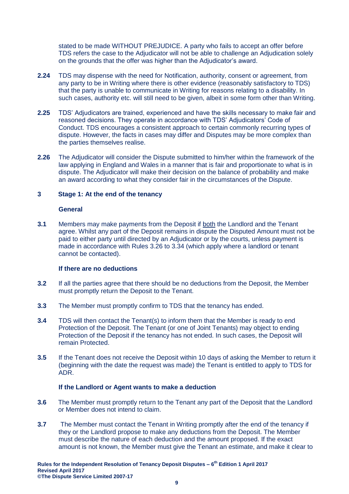stated to be made WITHOUT PREJUDICE. A party who fails to accept an offer before TDS refers the case to the Adjudicator will not be able to challenge an Adjudication solely on the grounds that the offer was higher than the Adjudicator's award.

- **2.24** TDS may dispense with the need for Notification, authority, consent or agreement, from any party to be in Writing where there is other evidence (reasonably satisfactory to TDS) that the party is unable to communicate in Writing for reasons relating to a disability. In such cases, authority etc. will still need to be given, albeit in some form other than Writing.
- **2.25** TDS' Adjudicators are trained, experienced and have the skills necessary to make fair and reasoned decisions. They operate in accordance with TDS' Adjudicators' Code of Conduct. TDS encourages a consistent approach to certain commonly recurring types of dispute. However, the facts in cases may differ and Disputes may be more complex than the parties themselves realise.
- **2.26** The Adjudicator will consider the Dispute submitted to him/her within the framework of the law applying in England and Wales in a manner that is fair and proportionate to what is in dispute. The Adjudicator will make their decision on the balance of probability and make an award according to what they consider fair in the circumstances of the Dispute.

## <span id="page-8-0"></span>**3 Stage 1: At the end of the tenancy**

#### **General**

**3.1** Members may make payments from the Deposit if both the Landlord and the Tenant agree. Whilst any part of the Deposit remains in dispute the Disputed Amount must not be paid to either party until directed by an Adjudicator or by the courts, unless payment is made in accordance with Rules [3.26](#page-10-0) to [3.34](#page-11-1) (which apply where a landlord or tenant cannot be contacted).

#### **If there are no deductions**

- **3.2** If all the parties agree that there should be no deductions from the Deposit, the Member must promptly return the Deposit to the Tenant.
- **3.3** The Member must promptly confirm to TDS that the tenancy has ended.
- **3.4** TDS will then contact the Tenant(s) to inform them that the Member is ready to end Protection of the Deposit. The Tenant (or one of Joint Tenants) may object to ending Protection of the Deposit if the tenancy has not ended. In such cases, the Deposit will remain Protected.
- **3.5** If the Tenant does not receive the Deposit within 10 days of asking the Member to return it (beginning with the date the request was made) the Tenant is entitled to apply to TDS for ADR.

## **If the Landlord or Agent wants to make a deduction**

- **3.6** The Member must promptly return to the Tenant any part of the Deposit that the Landlord or Member does not intend to claim.
- **3.7** The Member must contact the Tenant in Writing promptly after the end of the tenancy if they or the Landlord propose to make any deductions from the Deposit. The Member must describe the nature of each deduction and the amount proposed. If the exact amount is not known, the Member must give the Tenant an estimate, and make it clear to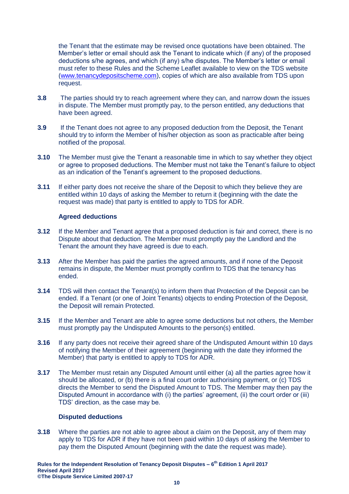the Tenant that the estimate may be revised once quotations have been obtained. The Member's letter or email should ask the Tenant to indicate which (if any) of the proposed deductions s/he agrees, and which (if any) s/he disputes. The Member's letter or email must refer to these Rules and the Scheme Leaflet available to view on the TDS website [\(www.tenancydepositscheme.com\)](http://www.tenancydepositscheme.com/), copies of which are also available from TDS upon request.

- **3.8** The parties should try to reach agreement where they can, and narrow down the issues in dispute. The Member must promptly pay, to the person entitled, any deductions that have been agreed.
- **3.9** If the Tenant does not agree to any proposed deduction from the Deposit, the Tenant should try to inform the Member of his/her objection as soon as practicable after being notified of the proposal.
- **3.10** The Member must give the Tenant a reasonable time in which to say whether they object or agree to proposed deductions. The Member must not take the Tenant's failure to object as an indication of the Tenant's agreement to the proposed deductions.
- **3.11** If either party does not receive the share of the Deposit to which they believe they are entitled within 10 days of asking the Member to return it (beginning with the date the request was made) that party is entitled to apply to TDS for ADR.

## **Agreed deductions**

- **3.12** If the Member and Tenant agree that a proposed deduction is fair and correct, there is no Dispute about that deduction. The Member must promptly pay the Landlord and the Tenant the amount they have agreed is due to each.
- **3.13** After the Member has paid the parties the agreed amounts, and if none of the Deposit remains in dispute, the Member must promptly confirm to TDS that the tenancy has ended.
- **3.14** TDS will then contact the Tenant(s) to inform them that Protection of the Deposit can be ended. If a Tenant (or one of Joint Tenants) objects to ending Protection of the Deposit, the Deposit will remain Protected.
- **3.15** If the Member and Tenant are able to agree some deductions but not others, the Member must promptly pay the Undisputed Amounts to the person(s) entitled.
- **3.16** If any party does not receive their agreed share of the Undisputed Amount within 10 days of notifying the Member of their agreement (beginning with the date they informed the Member) that party is entitled to apply to TDS for ADR.
- **3.17** The Member must retain any Disputed Amount until either (a) all the parties agree how it should be allocated, or (b) there is a final court order authorising payment, or (c) TDS directs the Member to send the Disputed Amount to TDS. The Member may then pay the Disputed Amount in accordance with (i) the parties' agreement, (ii) the court order or (iii) TDS' direction, as the case may be.

#### **Disputed deductions**

**3.18** Where the parties are not able to agree about a claim on the Deposit, any of them may apply to TDS for ADR if they have not been paid within 10 days of asking the Member to pay them the Disputed Amount (beginning with the date the request was made).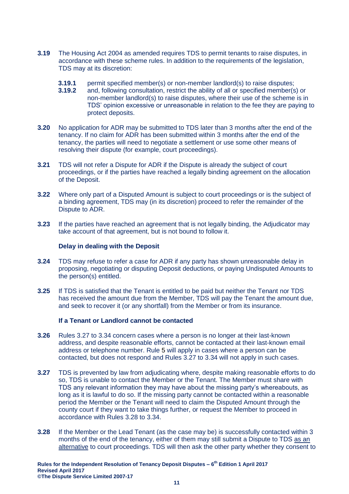- **3.19** The Housing Act 2004 as amended requires TDS to permit tenants to raise disputes, in accordance with these scheme rules. In addition to the requirements of the legislation, TDS may at its discretion:
	- **3.19.1** permit specified member(s) or non-member landlord(s) to raise disputes;
	- **3.19.2** and, following consultation, restrict the ability of all or specified member(s) or non-member landlord(s) to raise disputes, where their use of the scheme is in TDS' opinion excessive or unreasonable in relation to the fee they are paying to protect deposits.
- **3.20** No application for ADR may be submitted to TDS later than 3 months after the end of the tenancy. If no claim for ADR has been submitted within 3 months after the end of the tenancy, the parties will need to negotiate a settlement or use some other means of resolving their dispute (for example, court proceedings).
- **3.21** TDS will not refer a Dispute for ADR if the Dispute is already the subject of court proceedings, or if the parties have reached a legally binding agreement on the allocation of the Deposit.
- **3.22** Where only part of a Disputed Amount is subject to court proceedings or is the subject of a binding agreement, TDS may (in its discretion) proceed to refer the remainder of the Dispute to ADR.
- **3.23** If the parties have reached an agreement that is not legally binding, the Adjudicator may take account of that agreement, but is not bound to follow it.

## **Delay in dealing with the Deposit**

- **3.24** TDS may refuse to refer a case for ADR if any party has shown unreasonable delay in proposing, negotiating or disputing Deposit deductions, or paying Undisputed Amounts to the person(s) entitled.
- **3.25** If TDS is satisfied that the Tenant is entitled to be paid but neither the Tenant nor TDS has received the amount due from the Member, TDS will pay the Tenant the amount due, and seek to recover it (or any shortfall) from the Member or from its insurance.

## **If a Tenant or Landlord cannot be contacted**

- <span id="page-10-0"></span>**3.26** Rules [3.27](#page-10-1) to [3.34](#page-11-1) concern cases where a person is no longer at their last-known address, and despite reasonable efforts, cannot be contacted at their last-known email address or telephone number. Rule [5](#page-12-0) will apply in cases where a person can be contacted, but does not respond and Rules [3.27](#page-10-1) to [3.34](#page-11-1) will not apply in such cases.
- <span id="page-10-1"></span>**3.27** TDS is prevented by law from adjudicating where, despite making reasonable efforts to do so, TDS is unable to contact the Member or the Tenant. The Member must share with TDS any relevant information they may have about the missing party's whereabouts, as long as it is lawful to do so. If the missing party cannot be contacted within a reasonable period the Member or the Tenant will need to claim the Disputed Amount through the county court if they want to take things further, or request the Member to proceed in accordance with Rules [3.28](#page-10-2) to [3.34.](#page-11-1)
- <span id="page-10-2"></span>**3.28** If the Member or the Lead Tenant (as the case may be) is successfully contacted within 3 months of the end of the tenancy, either of them may still submit a Dispute to TDS as an alternative to court proceedings. TDS will then ask the other party whether they consent to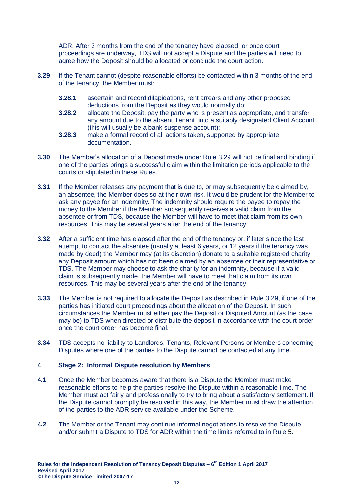ADR. After 3 months from the end of the tenancy have elapsed, or once court proceedings are underway, TDS will not accept a Dispute and the parties will need to agree how the Deposit should be allocated or conclude the court action.

- <span id="page-11-2"></span>**3.29** If the Tenant cannot (despite reasonable efforts) be contacted within 3 months of the end of the tenancy, the Member must:
	- **3.28.1** ascertain and record dilapidations, rent arrears and any other proposed deductions from the Deposit as they would normally do;
	- **3.28.2** allocate the Deposit, pay the party who is present as appropriate, and transfer any amount due to the absent Tenant into a suitably designated Client Account (this will usually be a bank suspense account);
	- **3.28.3** make a formal record of all actions taken, supported by appropriate documentation.
- **3.30** The Member's allocation of a Deposit made under Rule [3.29](#page-11-2) will not be final and binding if one of the parties brings a successful claim within the limitation periods applicable to the courts or stipulated in these Rules.
- **3.31** If the Member releases any payment that is due to, or may subsequently be claimed by, an absentee, the Member does so at their own risk. It would be prudent for the Member to ask any payee for an indemnity. The indemnity should require the payee to repay the money to the Member if the Member subsequently receives a valid claim from the absentee or from TDS, because the Member will have to meet that claim from its own resources. This may be several years after the end of the tenancy.
- **3.32** After a sufficient time has elapsed after the end of the tenancy or, if later since the last attempt to contact the absentee (usually at least 6 years, or 12 years if the tenancy was made by deed) the Member may (at its discretion) donate to a suitable registered charity any Deposit amount which has not been claimed by an absentee or their representative or TDS. The Member may choose to ask the charity for an indemnity, because if a valid claim is subsequently made, the Member will have to meet that claim from its own resources. This may be several years after the end of the tenancy.
- **3.33** The Member is not required to allocate the Deposit as described in Rule [3.29,](#page-11-2) if one of the parties has initiated court proceedings about the allocation of the Deposit. In such circumstances the Member must either pay the Deposit or Disputed Amount (as the case may be) to TDS when directed or distribute the deposit in accordance with the court order once the court order has become final.
- <span id="page-11-1"></span>**3.34** TDS accepts no liability to Landlords, Tenants, Relevant Persons or Members concerning Disputes where one of the parties to the Dispute cannot be contacted at any time.

## <span id="page-11-0"></span>**4 Stage 2: Informal Dispute resolution by Members**

- **4.1** Once the Member becomes aware that there is a Dispute the Member must make reasonable efforts to help the parties resolve the Dispute within a reasonable time. The Member must act fairly and professionally to try to bring about a satisfactory settlement. If the Dispute cannot promptly be resolved in this way, the Member must draw the attention of the parties to the ADR service available under the Scheme.
- **4.2** The Member or the Tenant may continue informal negotiations to resolve the Dispute and/or submit a Dispute to TDS for ADR within the time limits referred to in Rule [5.](#page-12-0)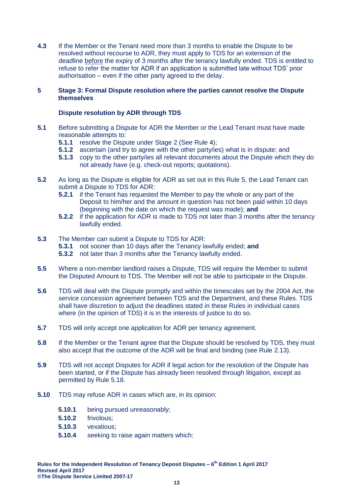**4.3** If the Member or the Tenant need more than 3 months to enable the Dispute to be resolved without recourse to ADR, they must apply to TDS for an extension of the deadline before the expiry of 3 months after the tenancy lawfully ended. TDS is entitled to refuse to refer the matter for ADR if an application is submitted late without TDS' prior authorisation – even if the other party agreed to the delay.

## <span id="page-12-0"></span>**5 Stage 3: Formal Dispute resolution where the parties cannot resolve the Dispute themselves**

## **Dispute resolution by ADR through TDS**

- **5.1** Before submitting a Dispute for ADR the Member or the Lead Tenant must have made reasonable attempts to:
	- **5.1.1** resolve the Dispute under Stage 2 (See Rule [4\)](#page-11-0);
	- **5.1.2** ascertain (and try to agree with the other party/ies) what is in dispute; and
	- **5.1.3** copy to the other party/ies all relevant documents about the Dispute which they do not already have (e.g. check-out reports; quotations).
- <span id="page-12-1"></span>**5.2** As long as the Dispute is eligible for ADR as set out in this Rule 5, the Lead Tenant can submit a Dispute to TDS for ADR:
	- **5.2.1** if the Tenant has requested the Member to pay the whole or any part of the Deposit to him/her and the amount in question has not been paid within 10 days (beginning with the date on which the request was made); **and**
	- **5.2.2** if the application for ADR is made to TDS not later than 3 months after the tenancy lawfully ended.
- **5.3** The Member can submit a Dispute to TDS for ADR:
	- **5.3.1** not sooner than 10 days after the Tenancy lawfully ended; **and**
	- **5.3.2** not later than 3 months after the Tenancy lawfully ended.
- **5.5** Where a non-member landlord raises a Dispute, TDS will require the Member to submit the Disputed Amount to TDS. The Member will not be able to participate in the Dispute.
- **5.6** TDS will deal with the Dispute promptly and within the timescales set by the 2004 Act, the service concession agreement between TDS and the Department, and these Rules. TDS shall have discretion to adjust the deadlines stated in these Rules in individual cases where (in the opinion of TDS) it is in the interests of justice to do so.
- **5.7** TDS will only accept one application for ADR per tenancy agreement.
- **5.8** If the Member or the Tenant agree that the Dispute should be resolved by TDS, they must also accept that the outcome of the ADR will be final and binding (see Rule [2.13\)](#page-6-0).
- **5.9** TDS will not accept Disputes for ADR if legal action for the resolution of the Dispute has been started, or if the Dispute has already been resolved through litigation, except as permitted by Rule [5.18.](#page-13-0)
- **5.10** TDS may refuse ADR in cases which are, in its opinion:
	- **5.10.1** being pursued unreasonably;
	- **5.10.2** frivolous;
	- **5.10.3** vexatious;
	- **5.10.4** seeking to raise again matters which: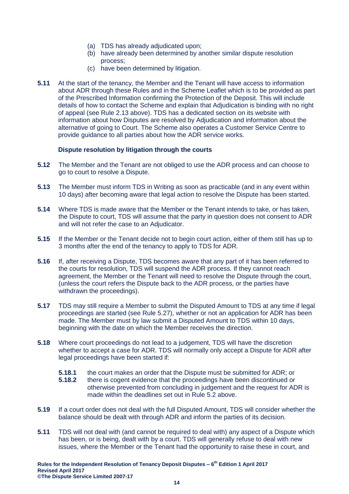- (a) TDS has already adjudicated upon;
- (b) have already been determined by another similar dispute resolution process;
- (c) have been determined by litigation.
- **5.11** At the start of the tenancy, the Member and the Tenant will have access to information about ADR through these Rules and in the Scheme Leaflet which is to be provided as part of the Prescribed Information confirming the Protection of the Deposit. This will include details of how to contact the Scheme and explain that Adjudication is binding with no right of appeal (see Rule [2.13](#page-6-0) above). TDS has a dedicated section on its website with information about how Disputes are resolved by Adjudication and information about the alternative of going to Court. The Scheme also operates a Customer Service Centre to provide guidance to all parties about how the ADR service works.

## **Dispute resolution by litigation through the courts**

- <span id="page-13-1"></span>**5.12** The Member and the Tenant are not obliged to use the ADR process and can choose to go to court to resolve a Dispute.
- **5.13** The Member must inform TDS in Writing as soon as practicable (and in any event within 10 days) after becoming aware that legal action to resolve the Dispute has been started.
- **5.14** Where TDS is made aware that the Member or the Tenant intends to take, or has taken, the Dispute to court, TDS will assume that the party in question does not consent to ADR and will not refer the case to an Adjudicator.
- **5.15** If the Member or the Tenant decide not to begin court action, either of them still has up to 3 months after the end of the tenancy to apply to TDS for ADR.
- **5.16** If, after receiving a Dispute, TDS becomes aware that any part of it has been referred to the courts for resolution, TDS will suspend the ADR process. If they cannot reach agreement, the Member or the Tenant will need to resolve the Dispute through the court, (unless the court refers the Dispute back to the ADR process, or the parties have withdrawn the proceedings).
- **5.17** TDS may still require a Member to submit the Disputed Amount to TDS at any time if legal proceedings are started (see Rule [5.27\)](#page-14-0), whether or not an application for ADR has been made. The Member must by law submit a Disputed Amount to TDS within 10 days, beginning with the date on which the Member receives the direction.
- <span id="page-13-0"></span>**5.18** Where court proceedings do not lead to a judgement, TDS will have the discretion whether to accept a case for ADR. TDS will normally only accept a Dispute for ADR after legal proceedings have been started if:
	- **5.18.1** the court makes an order that the Dispute must be submitted for ADR; or
	- **5.18.2** there is cogent evidence that the proceedings have been discontinued or otherwise prevented from concluding in judgement and the request for ADR is made within the deadlines set out in Rule [5.2](#page-12-1) above.
- **5.19** If a court order does not deal with the full Disputed Amount, TDS will consider whether the balance should be dealt with through ADR and inform the parties of its decision.
- **5.11** TDS will not deal with (and cannot be required to deal with) any aspect of a Dispute which has been, or is being, dealt with by a court. TDS will generally refuse to deal with new issues, where the Member or the Tenant had the opportunity to raise these in court, and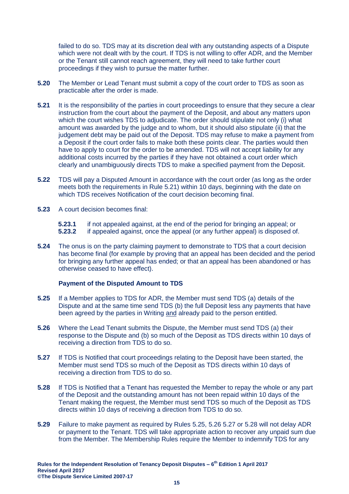failed to do so. TDS may at its discretion deal with any outstanding aspects of a Dispute which were not dealt with by the court. If TDS is not willing to offer ADR, and the Member or the Tenant still cannot reach agreement, they will need to take further court proceedings if they wish to pursue the matter further.

- **5.20** The Member or Lead Tenant must submit a copy of the court order to TDS as soon as practicable after the order is made.
- <span id="page-14-1"></span>**5.21** It is the responsibility of the parties in court proceedings to ensure that they secure a clear instruction from the court about the payment of the Deposit, and about any matters upon which the court wishes TDS to adjudicate. The order should stipulate not only (i) what amount was awarded by the judge and to whom, but it should also stipulate (ii) that the judgement debt may be paid out of the Deposit. TDS may refuse to make a payment from a Deposit if the court order fails to make both these points clear. The parties would then have to apply to court for the order to be amended. TDS will not accept liability for any additional costs incurred by the parties if they have not obtained a court order which clearly and unambiguously directs TDS to make a specified payment from the Deposit.
- **5.22** TDS will pay a Disputed Amount in accordance with the court order (as long as the order meets both the requirements in Rule [5.21\)](#page-14-1) within 10 days, beginning with the date on which TDS receives Notification of the court decision becoming final.
- **5.23** A court decision becomes final:
	- **5.23.1** if not appealed against, at the end of the period for bringing an appeal; or **5.23.2** if appealed against, once the appeal (or any further appeal) is disposed of
	- **5.23.2** if appealed against, once the appeal (or any further appeal) is disposed of.
- <span id="page-14-5"></span>**5.24** The onus is on the party claiming payment to demonstrate to TDS that a court decision has become final (for example by proving that an appeal has been decided and the period for bringing any further appeal has ended; or that an appeal has been abandoned or has otherwise ceased to have effect).

## **Payment of the Disputed Amount to TDS**

- <span id="page-14-2"></span>**5.25** If a Member applies to TDS for ADR, the Member must send TDS (a) details of the Dispute and at the same time send TDS (b) the full Deposit less any payments that have been agreed by the parties in Writing and already paid to the person entitled.
- <span id="page-14-3"></span>**5.26** Where the Lead Tenant submits the Dispute, the Member must send TDS (a) their response to the Dispute and (b) so much of the Deposit as TDS directs within 10 days of receiving a direction from TDS to do so.
- <span id="page-14-0"></span>**5.27** If TDS is Notified that court proceedings relating to the Deposit have been started, the Member must send TDS so much of the Deposit as TDS directs within 10 days of receiving a direction from TDS to do so.
- <span id="page-14-4"></span>**5.28** If TDS is Notified that a Tenant has requested the Member to repay the whole or any part of the Deposit and the outstanding amount has not been repaid within 10 days of the Tenant making the request, the Member must send TDS so much of the Deposit as TDS directs within 10 days of receiving a direction from TDS to do so.
- **5.29** Failure to make payment as required by Rules [5.25,](#page-14-2) [5.26](#page-14-3) [5.27](#page-14-0) or [5.28](#page-14-4) will not delay ADR or payment to the Tenant. TDS will take appropriate action to recover any unpaid sum due from the Member. The Membership Rules require the Member to indemnify TDS for any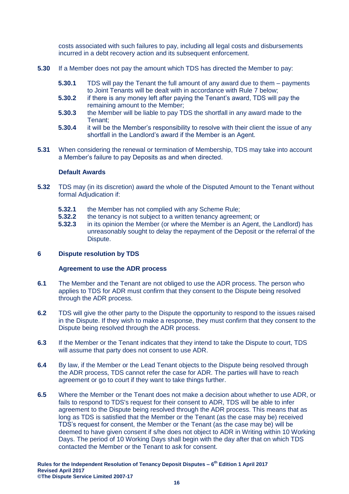costs associated with such failures to pay, including all legal costs and disbursements incurred in a debt recovery action and its subsequent enforcement.

- **5.30** If a Member does not pay the amount which TDS has directed the Member to pay:
	- **5.30.1** TDS will pay the Tenant the full amount of any award due to them payments to Joint Tenants will be dealt with in accordance with Rule [7](#page-19-0) below;
	- **5.30.2** if there is any money left after paying the Tenant's award, TDS will pay the remaining amount to the Member;
	- **5.30.3** the Member will be liable to pay TDS the shortfall in any award made to the Tenant;
	- **5.30.4** it will be the Member's responsibility to resolve with their client the issue of any shortfall in the Landlord's award if the Member is an Agent.
- **5.31** When considering the renewal or termination of Membership, TDS may take into account a Member's failure to pay Deposits as and when directed.

## **Default Awards**

- **5.32** TDS may (in its discretion) award the whole of the Disputed Amount to the Tenant without formal Adjudication if:
	- **5.32.1** the Member has not complied with any Scheme Rule;<br>**5.32.2** the tenancy is not subject to a written tenancy agreem
	- **5.32.2** the tenancy is not subject to a written tenancy agreement; or
	- **5.32.3** in its opinion the Member (or where the Member is an Agent, the Landlord) has unreasonably sought to delay the repayment of the Deposit or the referral of the Dispute.

## <span id="page-15-0"></span>**6 Dispute resolution by TDS**

#### **Agreement to use the ADR process**

- **6.1** The Member and the Tenant are not obliged to use the ADR process. The person who applies to TDS for ADR must confirm that they consent to the Dispute being resolved through the ADR process.
- **6.2** TDS will give the other party to the Dispute the opportunity to respond to the issues raised in the Dispute. If they wish to make a response, they must confirm that they consent to the Dispute being resolved through the ADR process.
- **6.3** If the Member or the Tenant indicates that they intend to take the Dispute to court, TDS will assume that party does not consent to use ADR.
- **6.4** By law, if the Member or the Lead Tenant objects to the Dispute being resolved through the ADR process, TDS cannot refer the case for ADR. The parties will have to reach agreement or go to court if they want to take things further.
- **6.5** Where the Member or the Tenant does not make a decision about whether to use ADR, or fails to respond to TDS's request for their consent to ADR, TDS will be able to infer agreement to the Dispute being resolved through the ADR process. This means that as long as TDS is satisfied that the Member or the Tenant (as the case may be) received TDS's request for consent, the Member or the Tenant (as the case may be) will be deemed to have given consent if s/he does not object to ADR in Writing within 10 Working Days. The period of 10 Working Days shall begin with the day after that on which TDS contacted the Member or the Tenant to ask for consent.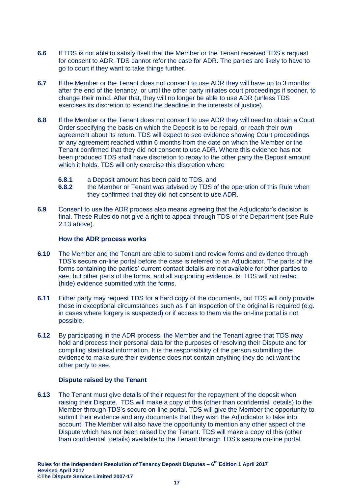- **6.6** If TDS is not able to satisfy itself that the Member or the Tenant received TDS's request for consent to ADR, TDS cannot refer the case for ADR. The parties are likely to have to go to court if they want to take things further.
- **6.7** If the Member or the Tenant does not consent to use ADR they will have up to 3 months after the end of the tenancy, or until the other party initiates court proceedings if sooner, to change their mind. After that, they will no longer be able to use ADR (unless TDS exercises its discretion to extend the deadline in the interests of justice).
- **6.8** If the Member or the Tenant does not consent to use ADR they will need to obtain a Court Order specifying the basis on which the Deposit is to be repaid, or reach their own agreement about its return. TDS will expect to see evidence showing Court proceedings or any agreement reached within 6 months from the date on which the Member or the Tenant confirmed that they did not consent to use ADR. Where this evidence has not been produced TDS shall have discretion to repay to the other party the Deposit amount which it holds. TDS will only exercise this discretion where
	- **6.8.1** a Deposit amount has been paid to TDS, and
	- **6.8.2** the Member or Tenant was advised by TDS of the operation of this Rule when they confirmed that they did not consent to use ADR.
- **6.9** Consent to use the ADR process also means agreeing that the Adjudicator's decision is final. These Rules do not give a right to appeal through TDS or the Department (see Rule [2.13](#page-6-0) above).

## **How the ADR process works**

- **6.10** The Member and the Tenant are able to submit and review forms and evidence through TDS's secure on-line portal before the case is referred to an Adjudicator. The parts of the forms containing the parties' current contact details are not available for other parties to see, but other parts of the forms, and all supporting evidence, is. TDS will not redact (hide) evidence submitted with the forms.
- **6.11** Either party may request TDS for a hard copy of the documents, but TDS will only provide these in exceptional circumstances such as if an inspection of the original is required (e.g. in cases where forgery is suspected) or if access to them via the on-line portal is not possible.
- **6.12** By participating in the ADR process, the Member and the Tenant agree that TDS may hold and process their personal data for the purposes of resolving their Dispute and for compiling statistical information. It is the responsibility of the person submitting the evidence to make sure their evidence does not contain anything they do not want the other party to see.

## **Dispute raised by the Tenant**

**6.13** The Tenant must give details of their request for the repayment of the deposit when raising their Dispute. TDS will make a copy of this (other than confidential details) to the Member through TDS's secure on-line portal. TDS will give the Member the opportunity to submit their evidence and any documents that they wish the Adjudicator to take into account. The Member will also have the opportunity to mention any other aspect of the Dispute which has not been raised by the Tenant. TDS will make a copy of this (other than confidential details) available to the Tenant through TDS's secure on-line portal.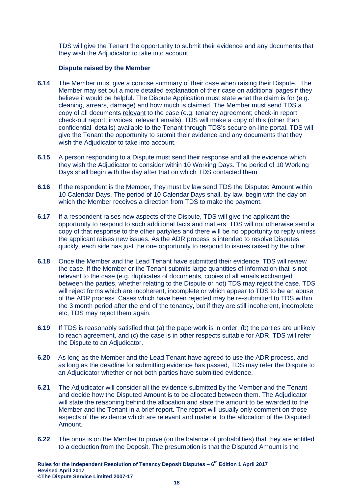TDS will give the Tenant the opportunity to submit their evidence and any documents that they wish the Adjudicator to take into account.

## **Dispute raised by the Member**

- **6.14** The Member must give a concise summary of their case when raising their Dispute. The Member may set out a more detailed explanation of their case on additional pages if they believe it would be helpful. The Dispute Application must state what the claim is for (e.g. cleaning, arrears, damage) and how much is claimed. The Member must send TDS a copy of all documents relevant to the case (e.g. tenancy agreement; check-in report; check-out report; invoices, relevant emails). TDS will make a copy of this (other than confidential details) available to the Tenant through TDS's secure on-line portal. TDS will give the Tenant the opportunity to submit their evidence and any documents that they wish the Adjudicator to take into account.
- **6.15** A person responding to a Dispute must send their response and all the evidence which they wish the Adjudicator to consider within 10 Working Days. The period of 10 Working Days shall begin with the day after that on which TDS contacted them.
- **6.16** If the respondent is the Member, they must by law send TDS the Disputed Amount within 10 Calendar Days. The period of 10 Calendar Days shall, by law, begin with the day on which the Member receives a direction from TDS to make the payment.
- **6.17** If a respondent raises new aspects of the Dispute, TDS will give the applicant the opportunity to respond to such additional facts and matters. TDS will not otherwise send a copy of that response to the other party/ies and there will be no opportunity to reply unless the applicant raises new issues. As the ADR process is intended to resolve Disputes quickly, each side has just the one opportunity to respond to issues raised by the other.
- **6.18** Once the Member and the Lead Tenant have submitted their evidence, TDS will review the case. If the Member or the Tenant submits large quantities of information that is not relevant to the case (e.g. duplicates of documents, copies of all emails exchanged between the parties, whether relating to the Dispute or not) TDS may reject the case. TDS will reject forms which are incoherent, incomplete or which appear to TDS to be an abuse of the ADR process. Cases which have been rejected may be re-submitted to TDS within the 3 month period after the end of the tenancy, but if they are still incoherent, incomplete etc, TDS may reject them again.
- **6.19** If TDS is reasonably satisfied that (a) the paperwork is in order, (b) the parties are unlikely to reach agreement, and (c) the case is in other respects suitable for ADR, TDS will refer the Dispute to an Adjudicator.
- **6.20** As long as the Member and the Lead Tenant have agreed to use the ADR process, and as long as the deadline for submitting evidence has passed, TDS may refer the Dispute to an Adjudicator whether or not both parties have submitted evidence.
- **6.21** The Adjudicator will consider all the evidence submitted by the Member and the Tenant and decide how the Disputed Amount is to be allocated between them. The Adjudicator will state the reasoning behind the allocation and state the amount to be awarded to the Member and the Tenant in a brief report. The report will usually only comment on those aspects of the evidence which are relevant and material to the allocation of the Disputed Amount.
- **6.22** The onus is on the Member to prove (on the balance of probabilities) that they are entitled to a deduction from the Deposit. The presumption is that the Disputed Amount is the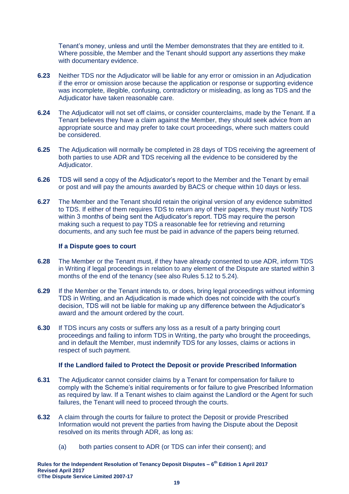Tenant's money, unless and until the Member demonstrates that they are entitled to it. Where possible, the Member and the Tenant should support any assertions they make with documentary evidence.

- **6.23** Neither TDS nor the Adjudicator will be liable for any error or omission in an Adjudication if the error or omission arose because the application or response or supporting evidence was incomplete, illegible, confusing, contradictory or misleading, as long as TDS and the Adjudicator have taken reasonable care.
- **6.24** The Adjudicator will not set off claims, or consider counterclaims, made by the Tenant. If a Tenant believes they have a claim against the Member, they should seek advice from an appropriate source and may prefer to take court proceedings, where such matters could be considered.
- **6.25** The Adjudication will normally be completed in 28 days of TDS receiving the agreement of both parties to use ADR and TDS receiving all the evidence to be considered by the Adjudicator.
- **6.26** TDS will send a copy of the Adjudicator's report to the Member and the Tenant by email or post and will pay the amounts awarded by BACS or cheque within 10 days or less.
- **6.27** The Member and the Tenant should retain the original version of any evidence submitted to TDS. If either of them requires TDS to return any of their papers, they must Notify TDS within 3 months of being sent the Adjudicator's report. TDS may require the person making such a request to pay TDS a reasonable fee for retrieving and returning documents, and any such fee must be paid in advance of the papers being returned.

## **If a Dispute goes to court**

- **6.28** The Member or the Tenant must, if they have already consented to use ADR, inform TDS in Writing if legal proceedings in relation to any element of the Dispute are started within 3 months of the end of the tenancy (see also Rules [5.12](#page-13-1) to [5.24\)](#page-14-5).
- **6.29** If the Member or the Tenant intends to, or does, bring legal proceedings without informing TDS in Writing, and an Adjudication is made which does not coincide with the court's decision, TDS will not be liable for making up any difference between the Adjudicator's award and the amount ordered by the court.
- **6.30** If TDS incurs any costs or suffers any loss as a result of a party bringing court proceedings and failing to inform TDS in Writing, the party who brought the proceedings, and in default the Member, must indemnify TDS for any losses, claims or actions in respect of such payment.

#### **If the Landlord failed to Protect the Deposit or provide Prescribed Information**

- **6.31** The Adjudicator cannot consider claims by a Tenant for compensation for failure to comply with the Scheme's initial requirements or for failure to give Prescribed Information as required by law. If a Tenant wishes to claim against the Landlord or the Agent for such failures, the Tenant will need to proceed through the courts.
- **6.32** A claim through the courts for failure to protect the Deposit or provide Prescribed Information would not prevent the parties from having the Dispute about the Deposit resolved on its merits through ADR, as long as:
	- (a) both parties consent to ADR (or TDS can infer their consent); and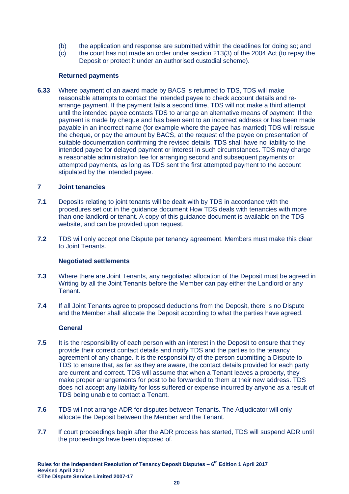- (b) the application and response are submitted within the deadlines for doing so; and
- (c) the court has not made an order under section 213(3) of the 2004 Act (to repay the Deposit or protect it under an authorised custodial scheme).

## **Returned payments**

**6.33** Where payment of an award made by BACS is returned to TDS, TDS will make reasonable attempts to contact the intended payee to check account details and rearrange payment. If the payment fails a second time, TDS will not make a third attempt until the intended payee contacts TDS to arrange an alternative means of payment. If the payment is made by cheque and has been sent to an incorrect address or has been made payable in an incorrect name (for example where the payee has married) TDS will reissue the cheque, or pay the amount by BACS, at the request of the payee on presentation of suitable documentation confirming the revised details. TDS shall have no liability to the intended payee for delayed payment or interest in such circumstances. TDS may charge a reasonable administration fee for arranging second and subsequent payments or attempted payments, as long as TDS sent the first attempted payment to the account stipulated by the intended payee.

## <span id="page-19-0"></span>**7 Joint tenancies**

- **7.1** Deposits relating to joint tenants will be dealt with by TDS in accordance with the procedures set out in the guidance document How TDS deals with tenancies with more than one landlord or tenant. A copy of this guidance document is available on the TDS website, and can be provided upon request.
- **7.2** TDS will only accept one Dispute per tenancy agreement. Members must make this clear to Joint Tenants.

## **Negotiated settlements**

- **7.3** Where there are Joint Tenants, any negotiated allocation of the Deposit must be agreed in Writing by all the Joint Tenants before the Member can pay either the Landlord or any Tenant.
- **7.4** If all Joint Tenants agree to proposed deductions from the Deposit, there is no Dispute and the Member shall allocate the Deposit according to what the parties have agreed.

#### **General**

- **7.5** It is the responsibility of each person with an interest in the Deposit to ensure that they provide their correct contact details and notify TDS and the parties to the tenancy agreement of any change. It is the responsibility of the person submitting a Dispute to TDS to ensure that, as far as they are aware, the contact details provided for each party are current and correct. TDS will assume that when a Tenant leaves a property, they make proper arrangements for post to be forwarded to them at their new address. TDS does not accept any liability for loss suffered or expense incurred by anyone as a result of TDS being unable to contact a Tenant.
- **7.6** TDS will not arrange ADR for disputes between Tenants. The Adjudicator will only allocate the Deposit between the Member and the Tenant.
- **7.7** If court proceedings begin after the ADR process has started, TDS will suspend ADR until the proceedings have been disposed of.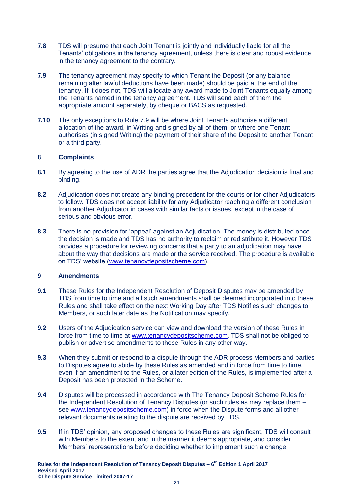- **7.8** TDS will presume that each Joint Tenant is jointly and individually liable for all the Tenants' obligations in the tenancy agreement, unless there is clear and robust evidence in the tenancy agreement to the contrary.
- <span id="page-20-2"></span>**7.9** The tenancy agreement may specify to which Tenant the Deposit (or any balance remaining after lawful deductions have been made) should be paid at the end of the tenancy. If it does not, TDS will allocate any award made to Joint Tenants equally among the Tenants named in the tenancy agreement. TDS will send each of them the appropriate amount separately, by cheque or BACS as requested.
- **7.10** The only exceptions to Rule [7.9](#page-20-2) will be where Joint Tenants authorise a different allocation of the award, in Writing and signed by all of them, or where one Tenant authorises (in signed Writing) the payment of their share of the Deposit to another Tenant or a third party.

# <span id="page-20-0"></span>**8 Complaints**

- **8.1** By agreeing to the use of ADR the parties agree that the Adjudication decision is final and binding.
- **8.2** Adjudication does not create any binding precedent for the courts or for other Adjudicators to follow. TDS does not accept liability for any Adjudicator reaching a different conclusion from another Adjudicator in cases with similar facts or issues, except in the case of serious and obvious error.
- **8.3** There is no provision for 'appeal' against an Adjudication. The money is distributed once the decision is made and TDS has no authority to reclaim or redistribute it. However TDS provides a procedure for reviewing concerns that a party to an adjudication may have about the way that decisions are made or the service received. The procedure is available on TDS' website [\(www.tenancydepositscheme.com\)](http://www.tds.gb.com/).

#### <span id="page-20-1"></span>**9 Amendments**

- **9.1** These Rules for the Independent Resolution of Deposit Disputes may be amended by TDS from time to time and all such amendments shall be deemed incorporated into these Rules and shall take effect on the next Working Day after TDS Notifies such changes to Members, or such later date as the Notification may specify.
- **9.2** Users of the Adjudication service can view and download the version of these Rules in force from time to time at [www.tenancydepositscheme.com.](http://www.tds.gb.com/) TDS shall not be obliged to publish or advertise amendments to these Rules in any other way.
- **9.3** When they submit or respond to a dispute through the ADR process Members and parties to Disputes agree to abide by these Rules as amended and in force from time to time, even if an amendment to the Rules, or a later edition of the Rules, is implemented after a Deposit has been protected in the Scheme.
- **9.4** Disputes will be processed in accordance with The Tenancy Deposit Scheme Rules for the Independent Resolution of Tenancy Disputes (or such rules as may replace them – see [www.tenancydepositscheme.com\)](http://www.tds.gb.com/) in force when the Dispute forms and all other relevant documents relating to the dispute are received by TDS.
- **9.5** If in TDS' opinion, any proposed changes to these Rules are significant, TDS will consult with Members to the extent and in the manner it deems appropriate, and consider Members' representations before deciding whether to implement such a change.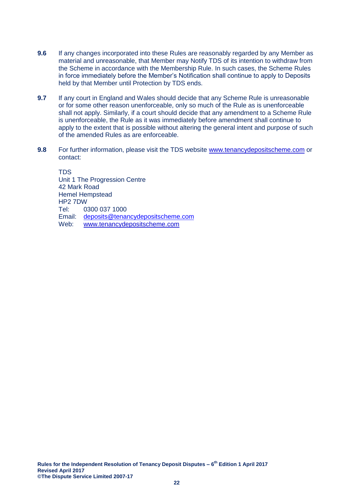- **9.6** If any changes incorporated into these Rules are reasonably regarded by any Member as material and unreasonable, that Member may Notify TDS of its intention to withdraw from the Scheme in accordance with the Membership Rule. In such cases, the Scheme Rules in force immediately before the Member's Notification shall continue to apply to Deposits held by that Member until Protection by TDS ends.
- **9.7** If any court in England and Wales should decide that any Scheme Rule is unreasonable or for some other reason unenforceable, only so much of the Rule as is unenforceable shall not apply. Similarly, if a court should decide that any amendment to a Scheme Rule is unenforceable, the Rule as it was immediately before amendment shall continue to apply to the extent that is possible without altering the general intent and purpose of such of the amended Rules as are enforceable.
- **9.8** For further information, please visit the TDS website [www.tenancydepositscheme.com](http://www.tds.gb.com/) or contact:

**TDS** Unit 1 The Progression Centre 42 Mark Road Hemel Hempstead HP2 7DW Tel: 0300 037 1000<br>Email: deposits@tenar [deposits@tenancydepositscheme.com](mailto:deposits@tenancydepositscheme.com) Web: [www.tenancydepositscheme.com](http://www.tds.gb.com/)